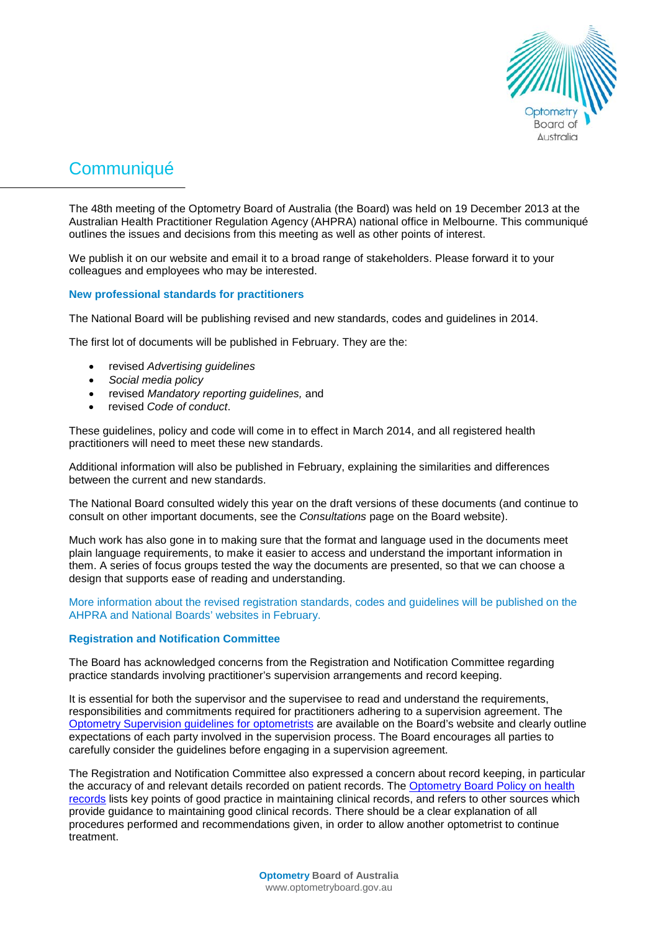

# **Communiqué**

The 48th meeting of the Optometry Board of Australia (the Board) was held on 19 December 2013 at the Australian Health Practitioner Regulation Agency (AHPRA) national office in Melbourne. This communiqué outlines the issues and decisions from this meeting as well as other points of interest.

We publish it on our website and email it to a broad range of stakeholders. Please forward it to your colleagues and employees who may be interested.

## **New professional standards for practitioners**

The National Board will be publishing revised and new standards, codes and guidelines in 2014.

The first lot of documents will be published in February. They are the:

- revised *Advertising guidelines*
- *Social media policy*
- revised *Mandatory reporting guidelines,* and
- revised *Code of conduct*.

These guidelines, policy and code will come in to effect in March 2014, and all registered health practitioners will need to meet these new standards.

Additional information will also be published in February, explaining the similarities and differences between the current and new standards.

The National Board consulted widely this year on the draft versions of these documents (and continue to consult on other important documents, see the *Consultations* page on the Board website).

Much work has also gone in to making sure that the format and language used in the documents meet plain language requirements, to make it easier to access and understand the important information in them. A series of focus groups tested the way the documents are presented, so that we can choose a design that supports ease of reading and understanding.

More information about the revised registration standards, codes and guidelines will be published on the AHPRA and National Boards' websites in February.

### **Registration and Notification Committee**

The Board has acknowledged concerns from the Registration and Notification Committee regarding practice standards involving practitioner's supervision arrangements and record keeping.

It is essential for both the supervisor and the supervisee to read and understand the requirements, responsibilities and commitments required for practitioners adhering to a supervision agreement. The [Optometry Supervision guidelines](http://www.optometryboard.gov.au/documents/default.aspx?record=WD12%2f8287&dbid=AP&chksum=UedlhhgHHriBPoHkBhn0WQ%3d%3d) for optometrists are available on the Board's website and clearly outline expectations of each party involved in the supervision process. The Board encourages all parties to carefully consider the guidelines before engaging in a supervision agreement.

The Registration and Notification Committee also expressed a concern about record keeping, in particular the accuracy of and relevant details recorded on patient records. The [Optometry Board Policy on health](http://www.optometryboard.gov.au/documents/default.aspx?record=WD11%2f6886&dbid=AP&chksum=1tWa0Gh790%2brbrdDkxY7eg%3d%3d)  [records](http://www.optometryboard.gov.au/documents/default.aspx?record=WD11%2f6886&dbid=AP&chksum=1tWa0Gh790%2brbrdDkxY7eg%3d%3d) lists key points of good practice in maintaining clinical records, and refers to other sources which provide guidance to maintaining good clinical records. There should be a clear explanation of all procedures performed and recommendations given, in order to allow another optometrist to continue treatment.